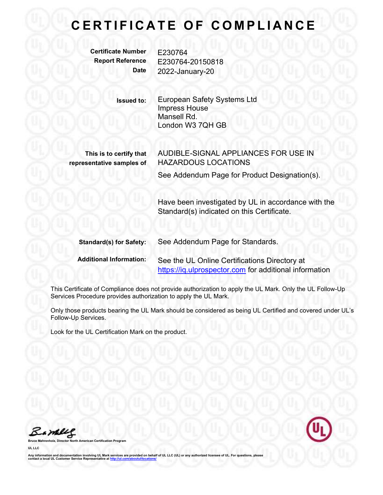# CERTIFICATE OF COMPLIANCE

Certificate Number E230764

Report Reference E230764-20150818 Date 2022-January-20

> Issued to: European Safety Systems Ltd Impress House Mansell Rd. London W3 7QH GB

This is to certify that representative samples of AUDIBLE-SIGNAL APPLIANCES FOR USE IN HAZARDOUS LOCATIONS

See Addendum Page for Product Designation(s).

Have been investigated by UL in accordance with the Standard(s) indicated on this Certificate.

| <b>Standard(s) for Safety:</b> | See Addendum Page for Standards.                       |
|--------------------------------|--------------------------------------------------------|
| <b>Additional Information:</b> | See the UL Online Certifications Directory at          |
|                                | https://iq.ulprospector.com for additional information |

This Certificate of Compliance does not provide authorization to apply the UL Mark. Only the UL Follow-Up Services Procedure provides authorization to apply the UL Mark.

Only those products bearing the UL Mark should be considered as being UL Certified and covered under UL's Follow-Up Services.

Look for the UL Certification Mark on the product.

Bambles



**Certification Program** 

UL LLC

Any information and documentation involving UL Mark services are provided on behalf of UL LLC (UL) or any authorized licensee of UL. For questions, please<br>contact a local UL Customer Service Representative at <u>http://ul.co</u>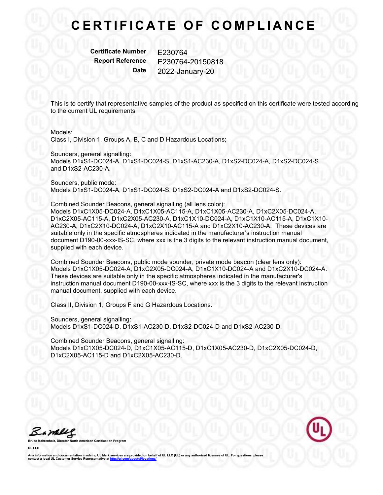# CERTIFICATE OF COMPLIANCE

Certificate Number E230764

Report Reference E230764-20150818 Date 2022-January-20

This is to certify that representative samples of the product as specified on this certificate were tested according to the current UL requirements

#### Models:

Class I, Division 1, Groups A, B, C and D Hazardous Locations;

Sounders, general signalling:

Models D1xS1-DC024-A, D1xS1-DC024-S, D1xS1-AC230-A, D1xS2-DC024-A, D1xS2-DC024-S and D1xS2-AC230-A.

Sounders, public mode: Models D1xS1-DC024-A, D1xS1-DC024-S, D1xS2-DC024-A and D1xS2-DC024-S.

Combined Sounder Beacons, general signalling (all lens color): Models D1xC1X05-DC024-A, D1xC1X05-AC115-A, D1xC1X05-AC230-A, D1xC2X05-DC024-A, D1xC2X05-AC115-A, D1xC2X05-AC230-A, D1xC1X10-DC024-A, D1xC1X10-AC115-A, D1xC1X10- AC230-A, D1xC2X10-DC024-A, D1xC2X10-AC115-A and D1xC2X10-AC230-A. These devices are suitable only in the specific atmospheres indicated in the manufacturer's instruction manual document D190-00-xxx-IS-SC, where xxx is the 3 digits to the relevant instruction manual document, supplied with each device.

Combined Sounder Beacons, public mode sounder, private mode beacon (clear lens only): Models D1xC1X05-DC024-A, D1xC2X05-DC024-A, D1xC1X10-DC024-A and D1xC2X10-DC024-A. These devices are suitable only in the specific atmospheres indicated in the manufacturer's instruction manual document D190-00-xxx-IS-SC, where xxx is the 3 digits to the relevant instruction manual document, supplied with each device.

Class II, Division 1, Groups F and G Hazardous Locations.

Sounders, general signalling: Models D1xS1-DC024-D, D1xS1-AC230-D, D1xS2-DC024-D and D1xS2-AC230-D.

Combined Sounder Beacons, general signalling: Models D1xC1X05-DC024-D, D1xC1X05-AC115-D, D1xC1X05-AC230-D, D1xC2X05-DC024-D, D1xC2X05-AC115-D and D1xC2X05-AC230-D.

Bambles



Bruce Mahrenholz, Director North American Certification Program

UL LLC

Any information and documentation involving UL Mark services are provided on behalf of UL LLC (UL) or any authorized licensee of UL. For questions, please<br>contact a local UL Customer Service Representative at <u>http://ul.co</u>